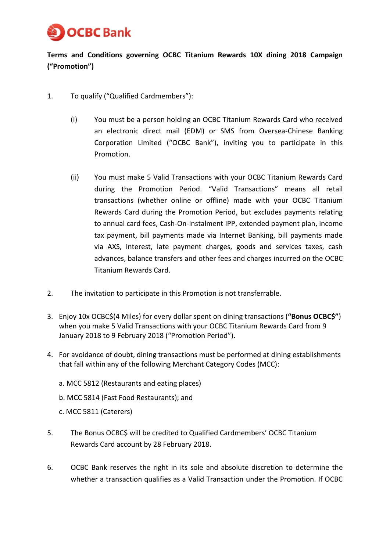

**Terms and Conditions governing OCBC Titanium Rewards 10X dining 2018 Campaign ("Promotion")**

- 1. To qualify ("Qualified Cardmembers"):
	- (i) You must be a person holding an OCBC Titanium Rewards Card who received an electronic direct mail (EDM) or SMS from Oversea-Chinese Banking Corporation Limited ("OCBC Bank"), inviting you to participate in this Promotion.
	- (ii) You must make 5 Valid Transactions with your OCBC Titanium Rewards Card during the Promotion Period. "Valid Transactions" means all retail transactions (whether online or offline) made with your OCBC Titanium Rewards Card during the Promotion Period, but excludes payments relating to annual card fees, Cash-On-Instalment IPP, extended payment plan, income tax payment, bill payments made via Internet Banking, bill payments made via AXS, interest, late payment charges, goods and services taxes, cash advances, balance transfers and other fees and charges incurred on the OCBC Titanium Rewards Card.
- 2. The invitation to participate in this Promotion is not transferrable.
- 3. Enjoy 10x OCBC\$(4 Miles) for every dollar spent on dining transactions (**"Bonus OCBC\$"**) when you make 5 Valid Transactions with your OCBC Titanium Rewards Card from 9 January 2018 to 9 February 2018 ("Promotion Period").
- 4. For avoidance of doubt, dining transactions must be performed at dining establishments that fall within any of the following Merchant Category Codes (MCC):
	- a. MCC 5812 (Restaurants and eating places)
	- b. MCC 5814 (Fast Food Restaurants); and
	- c. MCC 5811 (Caterers)
- 5. The Bonus OCBC\$ will be credited to Qualified Cardmembers' OCBC Titanium Rewards Card account by 28 February 2018.
- 6. OCBC Bank reserves the right in its sole and absolute discretion to determine the whether a transaction qualifies as a Valid Transaction under the Promotion. If OCBC